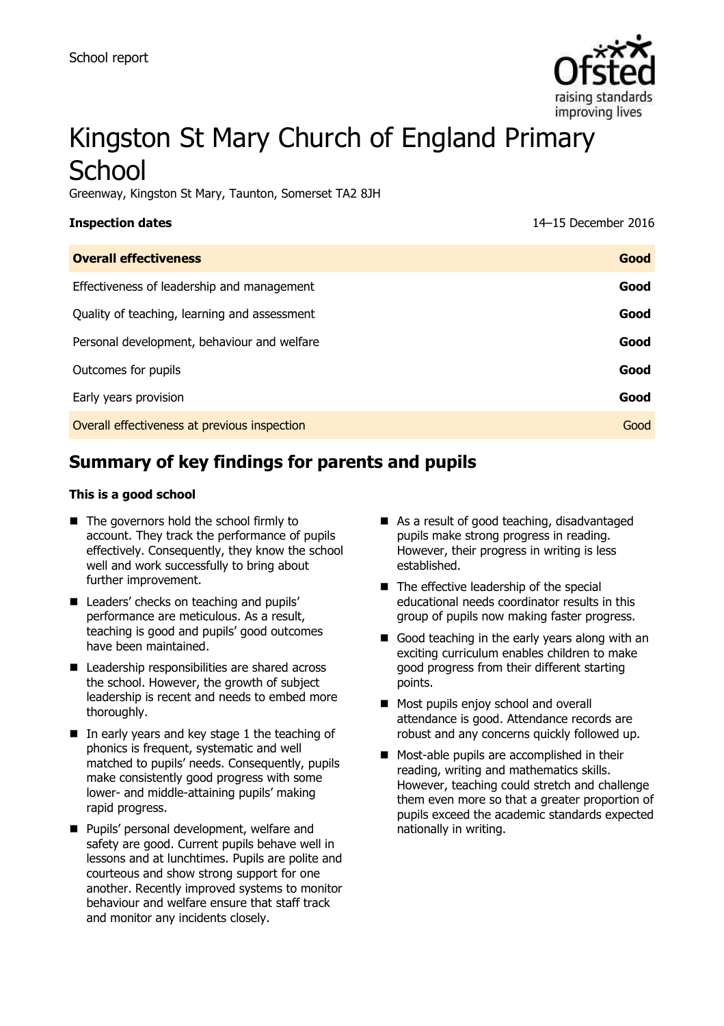

# Kingston St Mary Church of England Primary **School**

Greenway, Kingston St Mary, Taunton, Somerset TA2 8JH

| <b>Inspection dates</b> |  |
|-------------------------|--|
|-------------------------|--|

**Inspection dates** 14–15 December 2016

| <b>Overall effectiveness</b>                 | Good |
|----------------------------------------------|------|
| Effectiveness of leadership and management   | Good |
| Quality of teaching, learning and assessment | Good |
| Personal development, behaviour and welfare  | Good |
| Outcomes for pupils                          | Good |
| Early years provision                        | Good |
| Overall effectiveness at previous inspection | Good |

# **Summary of key findings for parents and pupils**

#### **This is a good school**

- The governors hold the school firmly to account. They track the performance of pupils effectively. Consequently, they know the school well and work successfully to bring about further improvement.
- Leaders' checks on teaching and pupils' performance are meticulous. As a result, teaching is good and pupils' good outcomes have been maintained.
- Leadership responsibilities are shared across the school. However, the growth of subject leadership is recent and needs to embed more thoroughly.
- $\blacksquare$  In early years and key stage 1 the teaching of phonics is frequent, systematic and well matched to pupils' needs. Consequently, pupils make consistently good progress with some lower- and middle-attaining pupils' making rapid progress.
- **Pupils' personal development, welfare and** safety are good. Current pupils behave well in lessons and at lunchtimes. Pupils are polite and courteous and show strong support for one another. Recently improved systems to monitor behaviour and welfare ensure that staff track and monitor any incidents closely.
- As a result of good teaching, disadvantaged pupils make strong progress in reading. However, their progress in writing is less established.
- The effective leadership of the special educational needs coordinator results in this group of pupils now making faster progress.
- Good teaching in the early years along with an exciting curriculum enables children to make good progress from their different starting points.
- **Most pupils enjoy school and overall** attendance is good. Attendance records are robust and any concerns quickly followed up.
- **Most-able pupils are accomplished in their** reading, writing and mathematics skills. However, teaching could stretch and challenge them even more so that a greater proportion of pupils exceed the academic standards expected nationally in writing.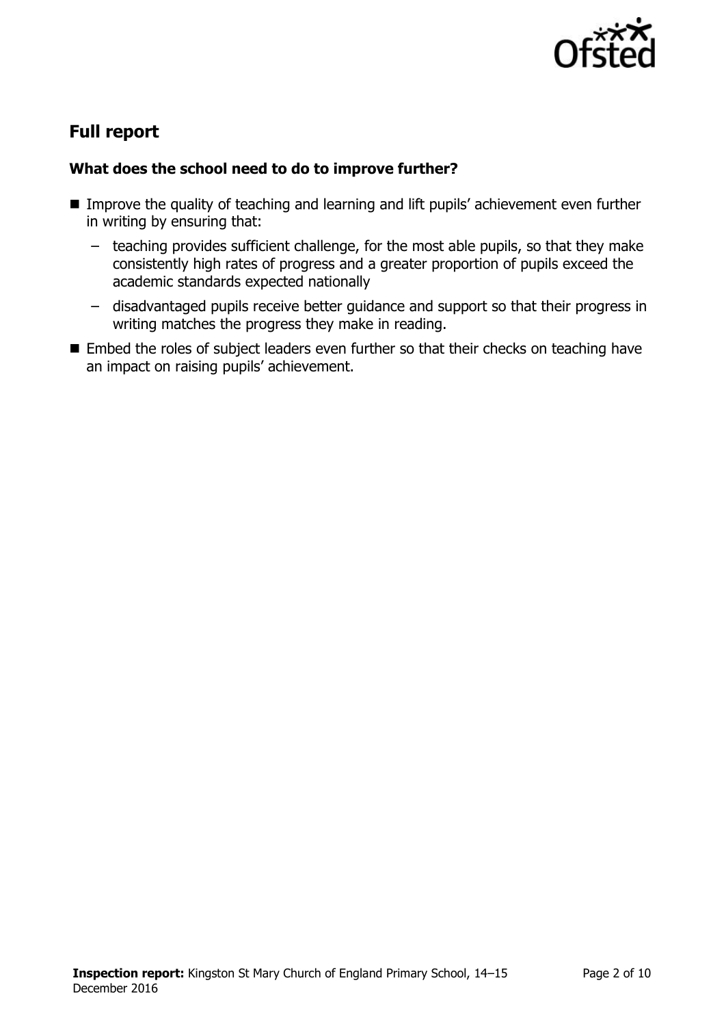

# **Full report**

### **What does the school need to do to improve further?**

- Improve the quality of teaching and learning and lift pupils' achievement even further in writing by ensuring that:
	- teaching provides sufficient challenge, for the most able pupils, so that they make consistently high rates of progress and a greater proportion of pupils exceed the academic standards expected nationally
	- disadvantaged pupils receive better guidance and support so that their progress in writing matches the progress they make in reading.
- Embed the roles of subject leaders even further so that their checks on teaching have an impact on raising pupils' achievement.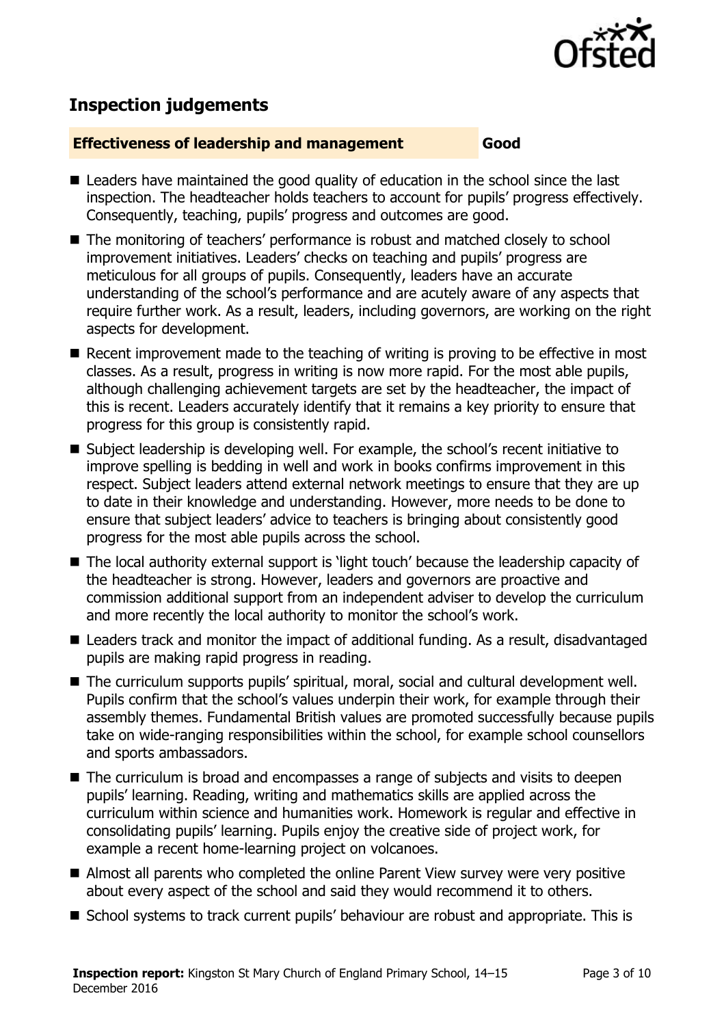

# **Inspection judgements**

#### **Effectiveness of leadership and management Good**

- Leaders have maintained the good quality of education in the school since the last inspection. The headteacher holds teachers to account for pupils' progress effectively. Consequently, teaching, pupils' progress and outcomes are good.
- The monitoring of teachers' performance is robust and matched closely to school improvement initiatives. Leaders' checks on teaching and pupils' progress are meticulous for all groups of pupils. Consequently, leaders have an accurate understanding of the school's performance and are acutely aware of any aspects that require further work. As a result, leaders, including governors, are working on the right aspects for development.
- Recent improvement made to the teaching of writing is proving to be effective in most classes. As a result, progress in writing is now more rapid. For the most able pupils, although challenging achievement targets are set by the headteacher, the impact of this is recent. Leaders accurately identify that it remains a key priority to ensure that progress for this group is consistently rapid.
- Subject leadership is developing well. For example, the school's recent initiative to improve spelling is bedding in well and work in books confirms improvement in this respect. Subject leaders attend external network meetings to ensure that they are up to date in their knowledge and understanding. However, more needs to be done to ensure that subject leaders' advice to teachers is bringing about consistently good progress for the most able pupils across the school.
- The local authority external support is 'light touch' because the leadership capacity of the headteacher is strong. However, leaders and governors are proactive and commission additional support from an independent adviser to develop the curriculum and more recently the local authority to monitor the school's work.
- Leaders track and monitor the impact of additional funding. As a result, disadvantaged pupils are making rapid progress in reading.
- The curriculum supports pupils' spiritual, moral, social and cultural development well. Pupils confirm that the school's values underpin their work, for example through their assembly themes. Fundamental British values are promoted successfully because pupils take on wide-ranging responsibilities within the school, for example school counsellors and sports ambassadors.
- The curriculum is broad and encompasses a range of subjects and visits to deepen pupils' learning. Reading, writing and mathematics skills are applied across the curriculum within science and humanities work. Homework is regular and effective in consolidating pupils' learning. Pupils enjoy the creative side of project work, for example a recent home-learning project on volcanoes.
- Almost all parents who completed the online Parent View survey were very positive about every aspect of the school and said they would recommend it to others.
- School systems to track current pupils' behaviour are robust and appropriate. This is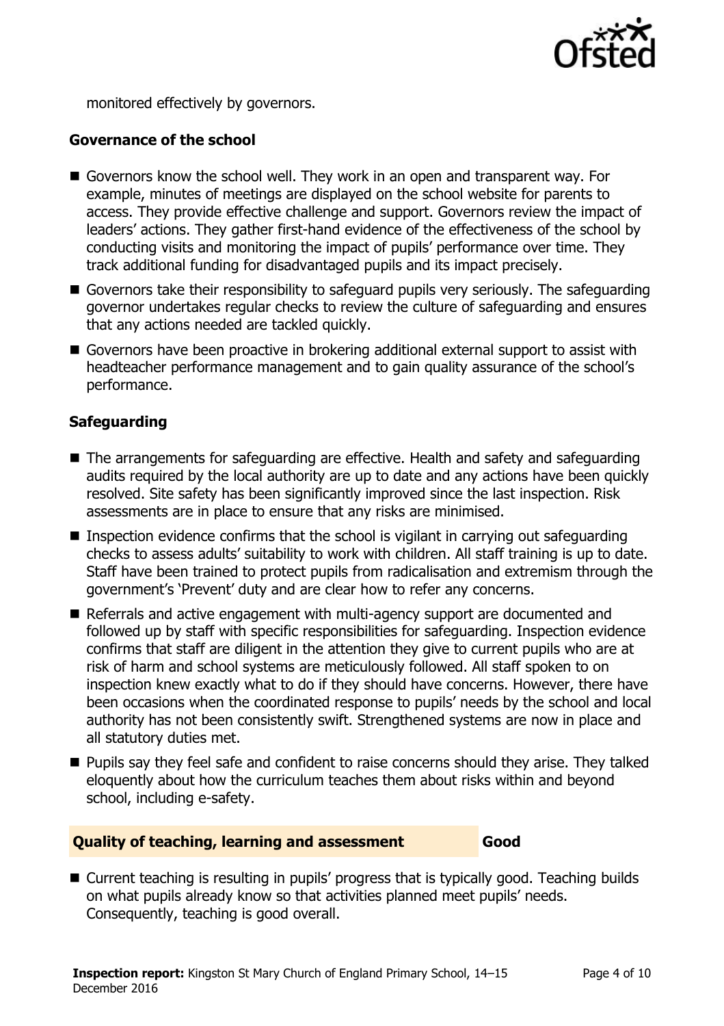

monitored effectively by governors.

### **Governance of the school**

- Governors know the school well. They work in an open and transparent way. For example, minutes of meetings are displayed on the school website for parents to access. They provide effective challenge and support. Governors review the impact of leaders' actions. They gather first-hand evidence of the effectiveness of the school by conducting visits and monitoring the impact of pupils' performance over time. They track additional funding for disadvantaged pupils and its impact precisely.
- Governors take their responsibility to safeguard pupils very seriously. The safeguarding governor undertakes regular checks to review the culture of safeguarding and ensures that any actions needed are tackled quickly.
- Governors have been proactive in brokering additional external support to assist with headteacher performance management and to gain quality assurance of the school's performance.

### **Safeguarding**

- The arrangements for safeguarding are effective. Health and safety and safeguarding audits required by the local authority are up to date and any actions have been quickly resolved. Site safety has been significantly improved since the last inspection. Risk assessments are in place to ensure that any risks are minimised.
- **Inspection evidence confirms that the school is vigilant in carrying out safeguarding** checks to assess adults' suitability to work with children. All staff training is up to date. Staff have been trained to protect pupils from radicalisation and extremism through the government's 'Prevent' duty and are clear how to refer any concerns.
- Referrals and active engagement with multi-agency support are documented and followed up by staff with specific responsibilities for safeguarding. Inspection evidence confirms that staff are diligent in the attention they give to current pupils who are at risk of harm and school systems are meticulously followed. All staff spoken to on inspection knew exactly what to do if they should have concerns. However, there have been occasions when the coordinated response to pupils' needs by the school and local authority has not been consistently swift. Strengthened systems are now in place and all statutory duties met.
- **Pupils say they feel safe and confident to raise concerns should they arise. They talked** eloquently about how the curriculum teaches them about risks within and beyond school, including e-safety.

#### **Quality of teaching, learning and assessment Good**

■ Current teaching is resulting in pupils' progress that is typically good. Teaching builds on what pupils already know so that activities planned meet pupils' needs. Consequently, teaching is good overall.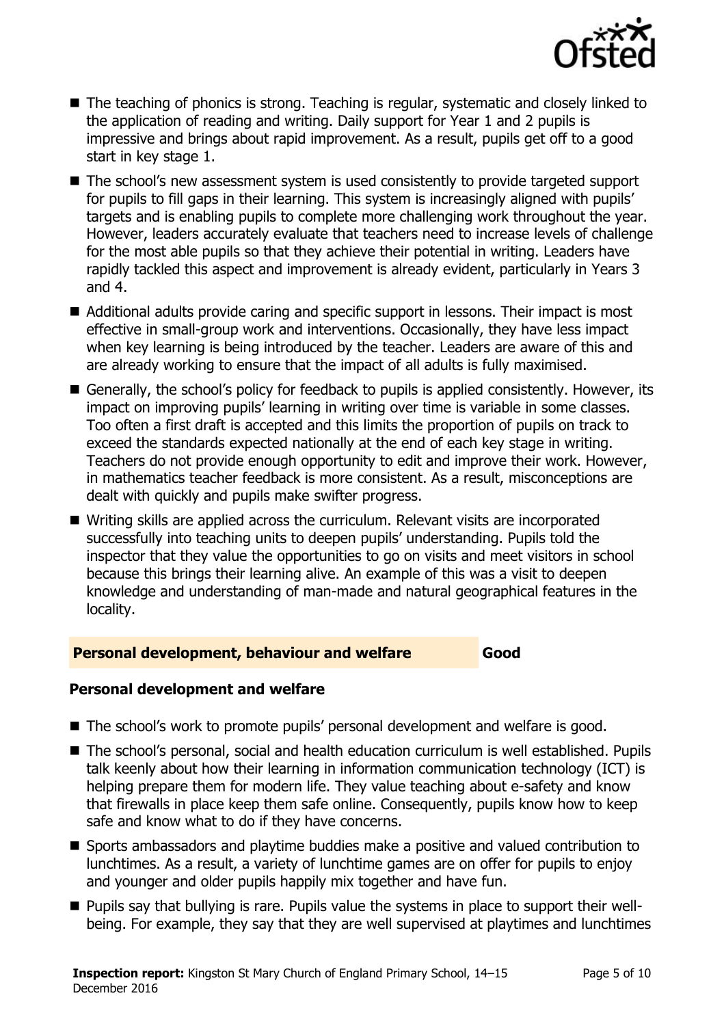

- The teaching of phonics is strong. Teaching is regular, systematic and closely linked to the application of reading and writing. Daily support for Year 1 and 2 pupils is impressive and brings about rapid improvement. As a result, pupils get off to a good start in key stage 1.
- The school's new assessment system is used consistently to provide targeted support for pupils to fill gaps in their learning. This system is increasingly aligned with pupils' targets and is enabling pupils to complete more challenging work throughout the year. However, leaders accurately evaluate that teachers need to increase levels of challenge for the most able pupils so that they achieve their potential in writing. Leaders have rapidly tackled this aspect and improvement is already evident, particularly in Years 3 and 4.
- Additional adults provide caring and specific support in lessons. Their impact is most effective in small-group work and interventions. Occasionally, they have less impact when key learning is being introduced by the teacher. Leaders are aware of this and are already working to ensure that the impact of all adults is fully maximised.
- Generally, the school's policy for feedback to pupils is applied consistently. However, its impact on improving pupils' learning in writing over time is variable in some classes. Too often a first draft is accepted and this limits the proportion of pupils on track to exceed the standards expected nationally at the end of each key stage in writing. Teachers do not provide enough opportunity to edit and improve their work. However, in mathematics teacher feedback is more consistent. As a result, misconceptions are dealt with quickly and pupils make swifter progress.
- Writing skills are applied across the curriculum. Relevant visits are incorporated successfully into teaching units to deepen pupils' understanding. Pupils told the inspector that they value the opportunities to go on visits and meet visitors in school because this brings their learning alive. An example of this was a visit to deepen knowledge and understanding of man-made and natural geographical features in the locality.

#### **Personal development, behaviour and welfare Good**

### **Personal development and welfare**

- The school's work to promote pupils' personal development and welfare is good.
- The school's personal, social and health education curriculum is well established. Pupils talk keenly about how their learning in information communication technology (ICT) is helping prepare them for modern life. They value teaching about e-safety and know that firewalls in place keep them safe online. Consequently, pupils know how to keep safe and know what to do if they have concerns.
- Sports ambassadors and playtime buddies make a positive and valued contribution to lunchtimes. As a result, a variety of lunchtime games are on offer for pupils to enjoy and younger and older pupils happily mix together and have fun.
- Pupils say that bullying is rare. Pupils value the systems in place to support their wellbeing. For example, they say that they are well supervised at playtimes and lunchtimes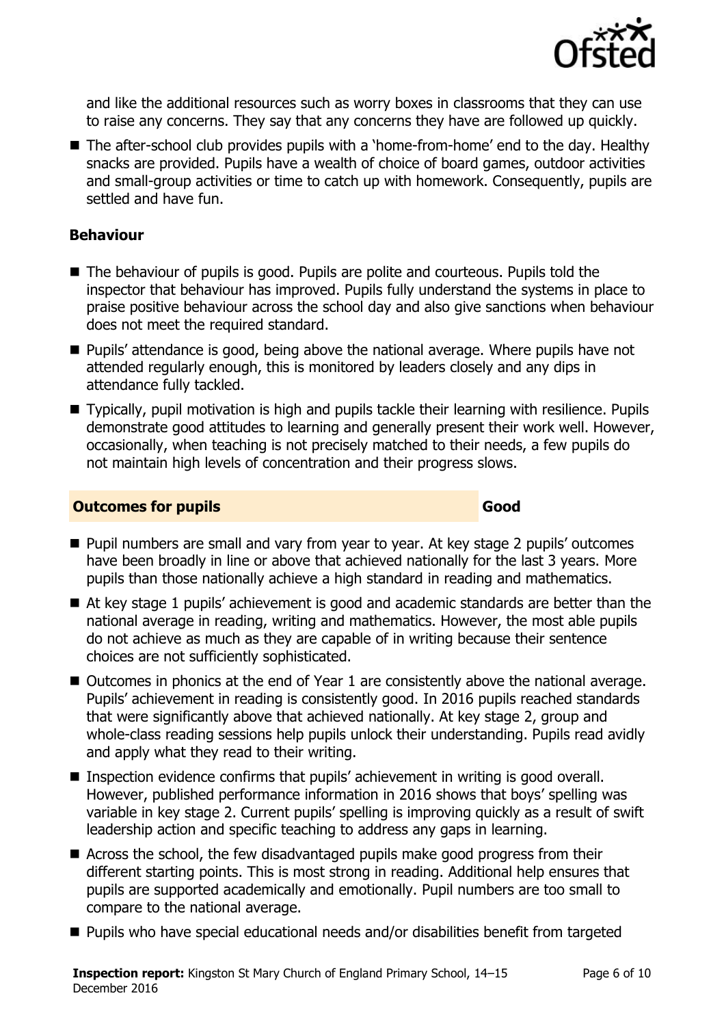

and like the additional resources such as worry boxes in classrooms that they can use to raise any concerns. They say that any concerns they have are followed up quickly.

■ The after-school club provides pupils with a 'home-from-home' end to the day. Healthy snacks are provided. Pupils have a wealth of choice of board games, outdoor activities and small-group activities or time to catch up with homework. Consequently, pupils are settled and have fun.

#### **Behaviour**

- The behaviour of pupils is good. Pupils are polite and courteous. Pupils told the inspector that behaviour has improved. Pupils fully understand the systems in place to praise positive behaviour across the school day and also give sanctions when behaviour does not meet the required standard.
- Pupils' attendance is good, being above the national average. Where pupils have not attended regularly enough, this is monitored by leaders closely and any dips in attendance fully tackled.
- Typically, pupil motivation is high and pupils tackle their learning with resilience. Pupils demonstrate good attitudes to learning and generally present their work well. However, occasionally, when teaching is not precisely matched to their needs, a few pupils do not maintain high levels of concentration and their progress slows.

#### **Outcomes for pupils Good Good**

- **Pupil numbers are small and vary from year to year. At key stage 2 pupils' outcomes** have been broadly in line or above that achieved nationally for the last 3 years. More pupils than those nationally achieve a high standard in reading and mathematics.
- At key stage 1 pupils' achievement is good and academic standards are better than the national average in reading, writing and mathematics. However, the most able pupils do not achieve as much as they are capable of in writing because their sentence choices are not sufficiently sophisticated.
- Outcomes in phonics at the end of Year 1 are consistently above the national average. Pupils' achievement in reading is consistently good. In 2016 pupils reached standards that were significantly above that achieved nationally. At key stage 2, group and whole-class reading sessions help pupils unlock their understanding. Pupils read avidly and apply what they read to their writing.
- Inspection evidence confirms that pupils' achievement in writing is good overall. However, published performance information in 2016 shows that boys' spelling was variable in key stage 2. Current pupils' spelling is improving quickly as a result of swift leadership action and specific teaching to address any gaps in learning.
- Across the school, the few disadvantaged pupils make good progress from their different starting points. This is most strong in reading. Additional help ensures that pupils are supported academically and emotionally. Pupil numbers are too small to compare to the national average.
- Pupils who have special educational needs and/or disabilities benefit from targeted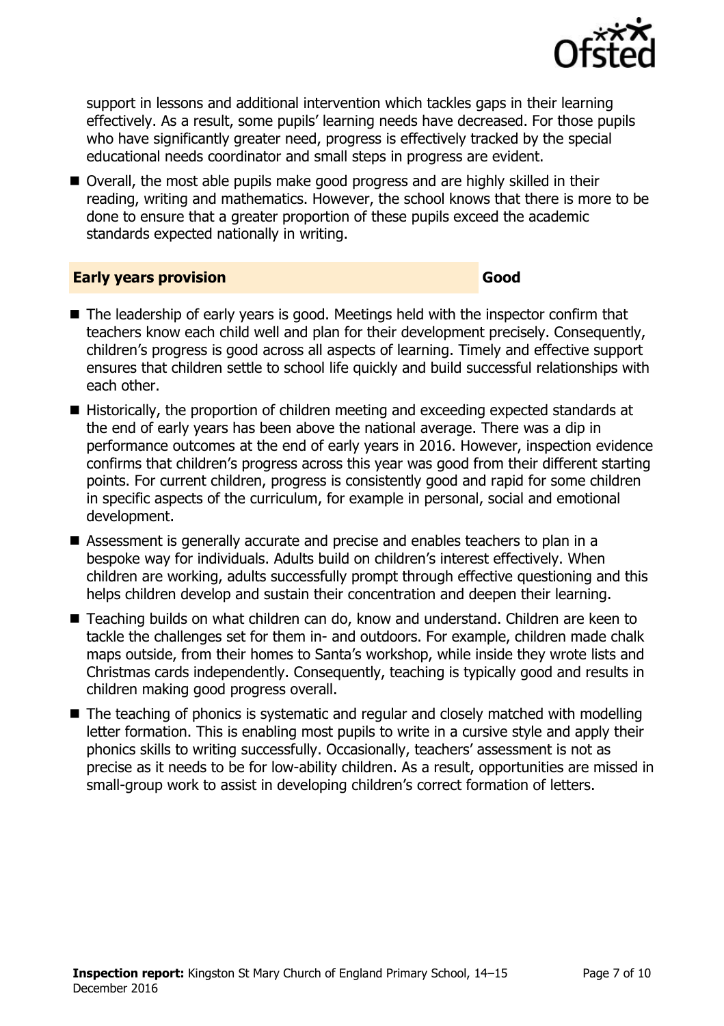

support in lessons and additional intervention which tackles gaps in their learning effectively. As a result, some pupils' learning needs have decreased. For those pupils who have significantly greater need, progress is effectively tracked by the special educational needs coordinator and small steps in progress are evident.

■ Overall, the most able pupils make good progress and are highly skilled in their reading, writing and mathematics. However, the school knows that there is more to be done to ensure that a greater proportion of these pupils exceed the academic standards expected nationally in writing.

#### **Early years provision Good**

- The leadership of early years is good. Meetings held with the inspector confirm that teachers know each child well and plan for their development precisely. Consequently, children's progress is good across all aspects of learning. Timely and effective support ensures that children settle to school life quickly and build successful relationships with each other.
- Historically, the proportion of children meeting and exceeding expected standards at the end of early years has been above the national average. There was a dip in performance outcomes at the end of early years in 2016. However, inspection evidence confirms that children's progress across this year was good from their different starting points. For current children, progress is consistently good and rapid for some children in specific aspects of the curriculum, for example in personal, social and emotional development.
- Assessment is generally accurate and precise and enables teachers to plan in a bespoke way for individuals. Adults build on children's interest effectively. When children are working, adults successfully prompt through effective questioning and this helps children develop and sustain their concentration and deepen their learning.
- Teaching builds on what children can do, know and understand. Children are keen to tackle the challenges set for them in- and outdoors. For example, children made chalk maps outside, from their homes to Santa's workshop, while inside they wrote lists and Christmas cards independently. Consequently, teaching is typically good and results in children making good progress overall.
- The teaching of phonics is systematic and regular and closely matched with modelling letter formation. This is enabling most pupils to write in a cursive style and apply their phonics skills to writing successfully. Occasionally, teachers' assessment is not as precise as it needs to be for low-ability children. As a result, opportunities are missed in small-group work to assist in developing children's correct formation of letters.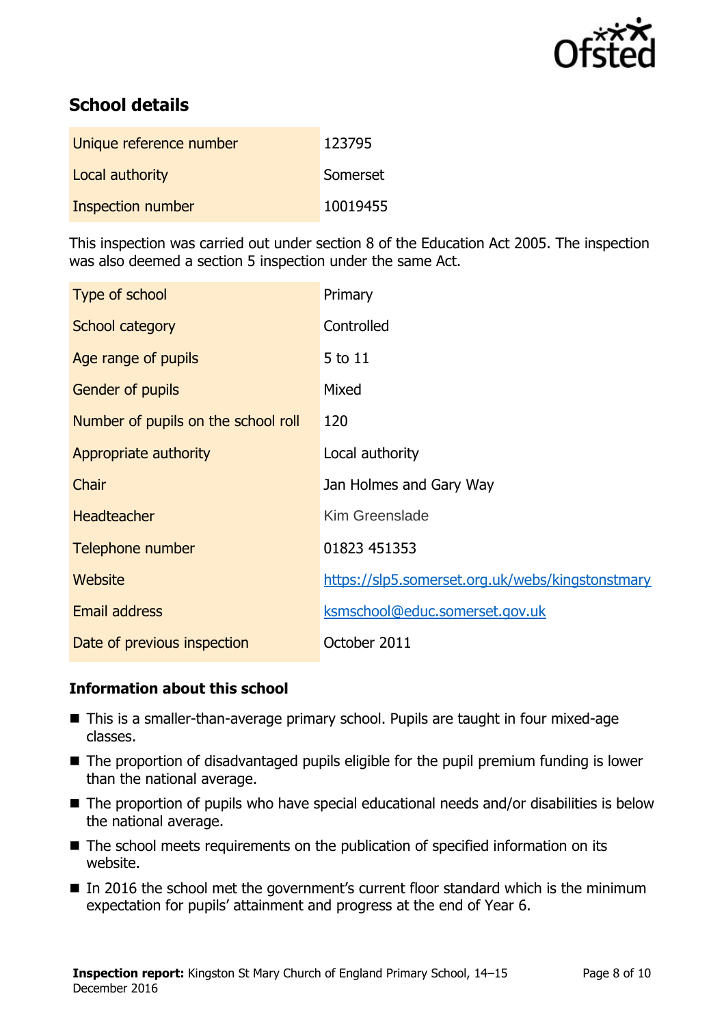

# **School details**

| Unique reference number | 123795   |
|-------------------------|----------|
| Local authority         | Somerset |
| Inspection number       | 10019455 |

This inspection was carried out under section 8 of the Education Act 2005. The inspection was also deemed a section 5 inspection under the same Act.

| Type of school                      | Primary                                          |
|-------------------------------------|--------------------------------------------------|
| School category                     | Controlled                                       |
| Age range of pupils                 | 5 to 11                                          |
| Gender of pupils                    | Mixed                                            |
| Number of pupils on the school roll | 120                                              |
| Appropriate authority               | Local authority                                  |
| Chair                               | Jan Holmes and Gary Way                          |
| <b>Headteacher</b>                  | <b>Kim Greenslade</b>                            |
| Telephone number                    | 01823 451353                                     |
| <b>Website</b>                      | https://slp5.somerset.org.uk/webs/kingstonstmary |
| <b>Email address</b>                | ksmschool@educ.somerset.gov.uk                   |
| Date of previous inspection         | October 2011                                     |

### **Information about this school**

- This is a smaller-than-average primary school. Pupils are taught in four mixed-age classes.
- The proportion of disadvantaged pupils eligible for the pupil premium funding is lower than the national average.
- The proportion of pupils who have special educational needs and/or disabilities is below the national average.
- The school meets requirements on the publication of specified information on its website.
- In 2016 the school met the government's current floor standard which is the minimum expectation for pupils' attainment and progress at the end of Year 6.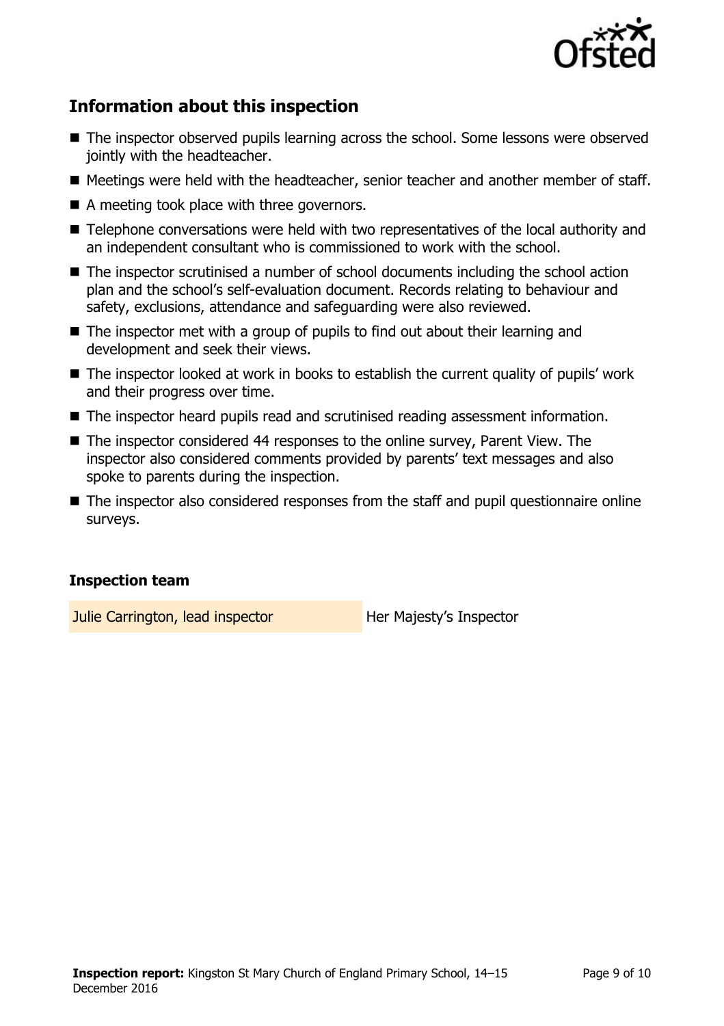

# **Information about this inspection**

- The inspector observed pupils learning across the school. Some lessons were observed jointly with the headteacher.
- Meetings were held with the headteacher, senior teacher and another member of staff.
- A meeting took place with three governors.
- Telephone conversations were held with two representatives of the local authority and an independent consultant who is commissioned to work with the school.
- The inspector scrutinised a number of school documents including the school action plan and the school's self-evaluation document. Records relating to behaviour and safety, exclusions, attendance and safeguarding were also reviewed.
- The inspector met with a group of pupils to find out about their learning and development and seek their views.
- The inspector looked at work in books to establish the current quality of pupils' work and their progress over time.
- The inspector heard pupils read and scrutinised reading assessment information.
- The inspector considered 44 responses to the online survey, Parent View. The inspector also considered comments provided by parents' text messages and also spoke to parents during the inspection.
- The inspector also considered responses from the staff and pupil questionnaire online surveys.

### **Inspection team**

Julie Carrington, lead inspector **Her Majesty's Inspector**